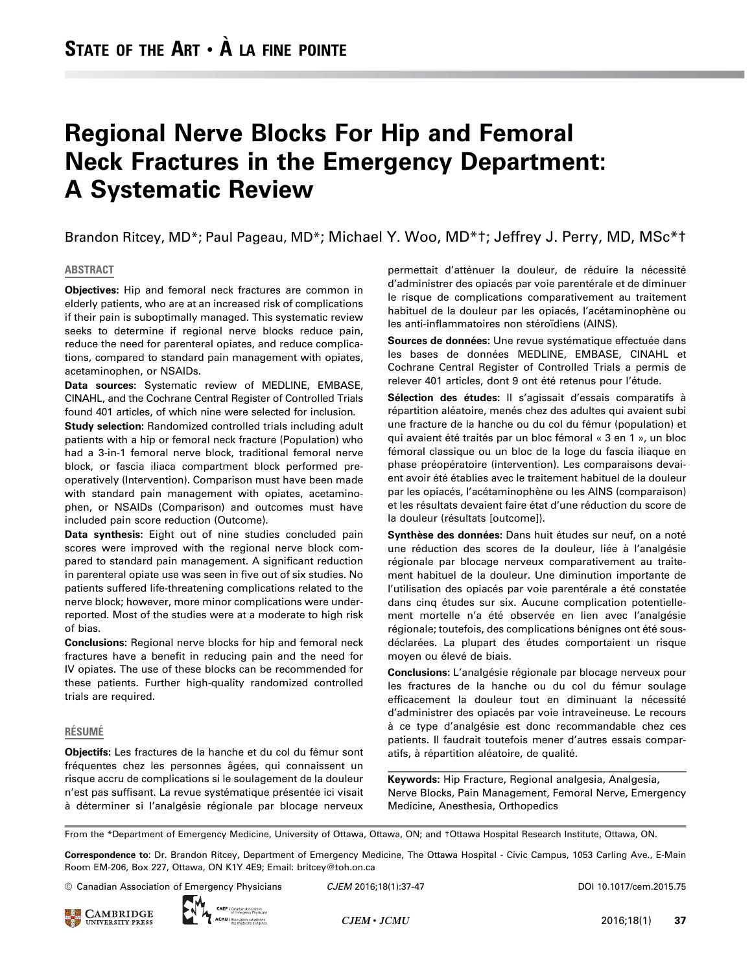# Regional Nerve Blocks For Hip and Femoral Neck Fractures in the Emergency Department: A Systematic Review

Brandon Ritcey, MD\*; Paul Pageau, MD\*; Michael Y. Woo, MD\*†; Jeffrey J. Perry, MD, MSc\*†

#### ABSTRACT

Objectives: Hip and femoral neck fractures are common in elderly patients, who are at an increased risk of complications if their pain is suboptimally managed. This systematic review seeks to determine if regional nerve blocks reduce pain, reduce the need for parenteral opiates, and reduce complications, compared to standard pain management with opiates, acetaminophen, or NSAIDs.

Data sources: Systematic review of MEDLINE, EMBASE, CINAHL, and the Cochrane Central Register of Controlled Trials found 401 articles, of which nine were selected for inclusion.

Study selection: Randomized controlled trials including adult patients with a hip or femoral neck fracture (Population) who had a 3-in-1 femoral nerve block, traditional femoral nerve block, or fascia iliaca compartment block performed preoperatively (Intervention). Comparison must have been made with standard pain management with opiates, acetaminophen, or NSAIDs (Comparison) and outcomes must have included pain score reduction (Outcome).

Data synthesis: Eight out of nine studies concluded pain scores were improved with the regional nerve block compared to standard pain management. A significant reduction in parenteral opiate use was seen in five out of six studies. No patients suffered life-threatening complications related to the nerve block; however, more minor complications were underreported. Most of the studies were at a moderate to high risk of bias.

Conclusions: Regional nerve blocks for hip and femoral neck fractures have a benefit in reducing pain and the need for IV opiates. The use of these blocks can be recommended for these patients. Further high-quality randomized controlled trials are required.

#### RÉSUMÉ

Objectifs: Les fractures de la hanche et du col du fémur sont fréquentes chez les personnes âgées, qui connaissent un risque accru de complications si le soulagement de la douleur n'est pas suffisant. La revue systématique présentée ici visait à déterminer si l'analgésie régionale par blocage nerveux permettait d'atténuer la douleur, de réduire la nécessité d'administrer des opiacés par voie parentérale et de diminuer le risque de complications comparativement au traitement habituel de la douleur par les opiacés, l'acétaminophène ou les anti-inflammatoires non stéroïdiens (AINS).

Sources de données: Une revue systématique effectuée dans les bases de données MEDLINE, EMBASE, CINAHL et Cochrane Central Register of Controlled Trials a permis de relever 401 articles, dont 9 ont été retenus pour l'étude.

Sélection des études: Il s'agissait d'essais comparatifs à répartition aléatoire, menés chez des adultes qui avaient subi une fracture de la hanche ou du col du fémur (population) et qui avaient été traités par un bloc fémoral « 3 en 1 », un bloc fémoral classique ou un bloc de la loge du fascia iliaque en phase préopératoire (intervention). Les comparaisons devaient avoir été établies avec le traitement habituel de la douleur par les opiacés, l'acétaminophène ou les AINS (comparaison) et les résultats devaient faire état d'une réduction du score de la douleur (résultats [outcome]).

Synthèse des données: Dans huit études sur neuf, on a noté une réduction des scores de la douleur, liée à l'analgésie régionale par blocage nerveux comparativement au traitement habituel de la douleur. Une diminution importante de l'utilisation des opiacés par voie parentérale a été constatée dans cinq études sur six. Aucune complication potentiellement mortelle n'a été observée en lien avec l'analgésie régionale; toutefois, des complications bénignes ont été sousdéclarées. La plupart des études comportaient un risque moyen ou élevé de biais.

Conclusions: L'analgésie régionale par blocage nerveux pour les fractures de la hanche ou du col du fémur soulage efficacement la douleur tout en diminuant la nécessité d'administrer des opiacés par voie intraveineuse. Le recours à ce type d'analgésie est donc recommandable chez ces patients. Il faudrait toutefois mener d'autres essais comparatifs, à répartition aléatoire, de qualité.

Keywords: Hip Fracture, Regional analgesia, Analgesia, Nerve Blocks, Pain Management, Femoral Nerve, Emergency Medicine, Anesthesia, Orthopedics

From the \*Department of Emergency Medicine, University of Ottawa, Ottawa, ON; and †Ottawa Hospital Research Institute, Ottawa, ON.

Correspondence to: Dr. Brandon Ritcey, Department of Emergency Medicine, The Ottawa Hospital - Civic Campus, 1053 Carling Ave., E-Main Room EM-206, Box 227, Ottawa, ON K1Y 4E9; Email: [britcey@toh.on.ca](mailto:britcey@toh.on.ca)

© Canadian Association of Emergency Physicians  $CJEM$  2016;18(1):37-47 DOI 10.1017/cem.2015.75



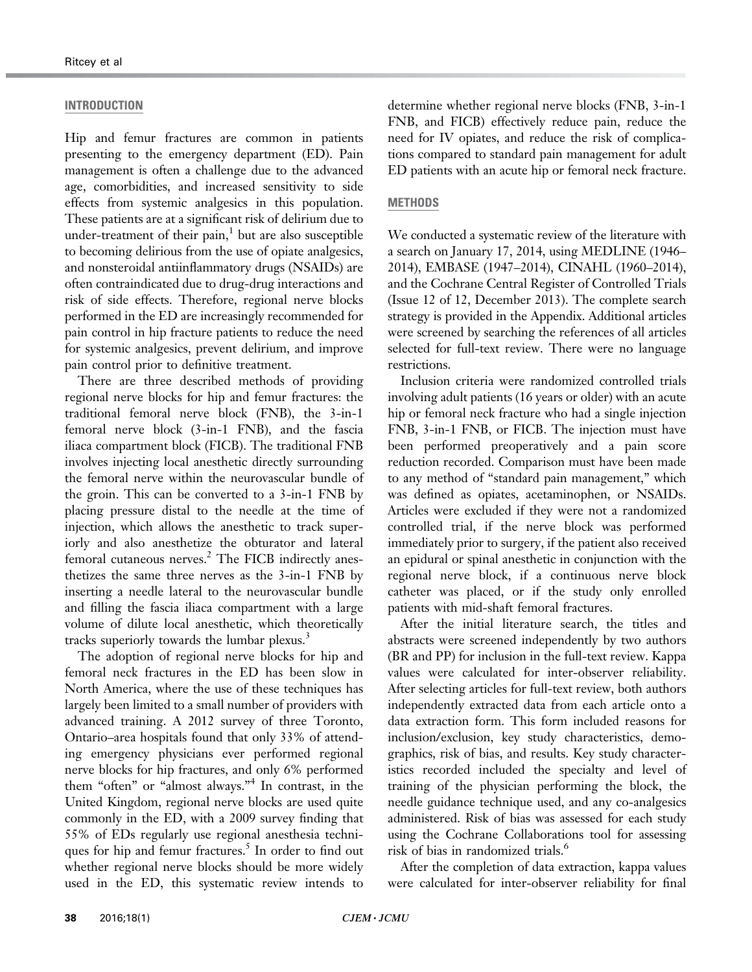#### INTRODUCTION

Hip and femur fractures are common in patients presenting to the emergency department (ED). Pain management is often a challenge due to the advanced age, comorbidities, and increased sensitivity to side effects from systemic analgesics in this population. These patients are at a significant risk of delirium due to under-treatment of their pain, $\frac{1}{1}$  $\frac{1}{1}$  $\frac{1}{1}$  but are also susceptible to becoming delirious from the use of opiate analgesics, and nonsteroidal antiinflammatory drugs (NSAIDs) are often contraindicated due to drug-drug interactions and risk of side effects. Therefore, regional nerve blocks performed in the ED are increasingly recommended for pain control in hip fracture patients to reduce the need for systemic analgesics, prevent delirium, and improve pain control prior to definitive treatment.

There are three described methods of providing regional nerve blocks for hip and femur fractures: the traditional femoral nerve block (FNB), the 3-in-1 femoral nerve block (3-in-1 FNB), and the fascia iliaca compartment block (FICB). The traditional FNB involves injecting local anesthetic directly surrounding the femoral nerve within the neurovascular bundle of the groin. This can be converted to a 3-in-1 FNB by placing pressure distal to the needle at the time of injection, which allows the anesthetic to track superiorly and also anesthetize the obturator and lateral femoral cutaneous nerves.<sup>2</sup> The FICB indirectly anesthetizes the same three nerves as the 3-in-1 FNB by inserting a needle lateral to the neurovascular bundle and filling the fascia iliaca compartment with a large volume of dilute local anesthetic, which theoretically tracks superiorly towards the lumbar plexus.<sup>[3](#page-7-0)</sup>

The adoption of regional nerve blocks for hip and femoral neck fractures in the ED has been slow in North America, where the use of these techniques has largely been limited to a small number of providers with advanced training. A 2012 survey of three Toronto, Ontario–area hospitals found that only 33% of attending emergency physicians ever performed regional nerve blocks for hip fractures, and only 6% performed them "often" or "almost always." [4](#page-7-0) In contrast, in the United Kingdom, regional nerve blocks are used quite commonly in the ED, with a 2009 survey finding that 55% of EDs regularly use regional anesthesia techni-ques for hip and femur fractures.<sup>[5](#page-7-0)</sup> In order to find out whether regional nerve blocks should be more widely used in the ED, this systematic review intends to determine whether regional nerve blocks (FNB, 3-in-1 FNB, and FICB) effectively reduce pain, reduce the need for IV opiates, and reduce the risk of complications compared to standard pain management for adult ED patients with an acute hip or femoral neck fracture.

### **METHODS**

We conducted a systematic review of the literature with a search on January 17, 2014, using MEDLINE (1946– 2014), EMBASE (1947–2014), CINAHL (1960–2014), and the Cochrane Central Register of Controlled Trials (Issue 12 of 12, December 2013). The complete search strategy is provided in the Appendix. Additional articles were screened by searching the references of all articles selected for full-text review. There were no language restrictions.

Inclusion criteria were randomized controlled trials involving adult patients (16 years or older) with an acute hip or femoral neck fracture who had a single injection FNB, 3-in-1 FNB, or FICB. The injection must have been performed preoperatively and a pain score reduction recorded. Comparison must have been made to any method of "standard pain management," which was defined as opiates, acetaminophen, or NSAIDs. Articles were excluded if they were not a randomized controlled trial, if the nerve block was performed immediately prior to surgery, if the patient also received an epidural or spinal anesthetic in conjunction with the regional nerve block, if a continuous nerve block catheter was placed, or if the study only enrolled patients with mid-shaft femoral fractures.

After the initial literature search, the titles and abstracts were screened independently by two authors (BR and PP) for inclusion in the full-text review. Kappa values were calculated for inter-observer reliability. After selecting articles for full-text review, both authors independently extracted data from each article onto a data extraction form. This form included reasons for inclusion/exclusion, key study characteristics, demographics, risk of bias, and results. Key study characteristics recorded included the specialty and level of training of the physician performing the block, the needle guidance technique used, and any co-analgesics administered. Risk of bias was assessed for each study using the Cochrane Collaborations tool for assessing risk of bias in randomized trials.<sup>[6](#page-7-0)</sup>

After the completion of data extraction, kappa values were calculated for inter-observer reliability for final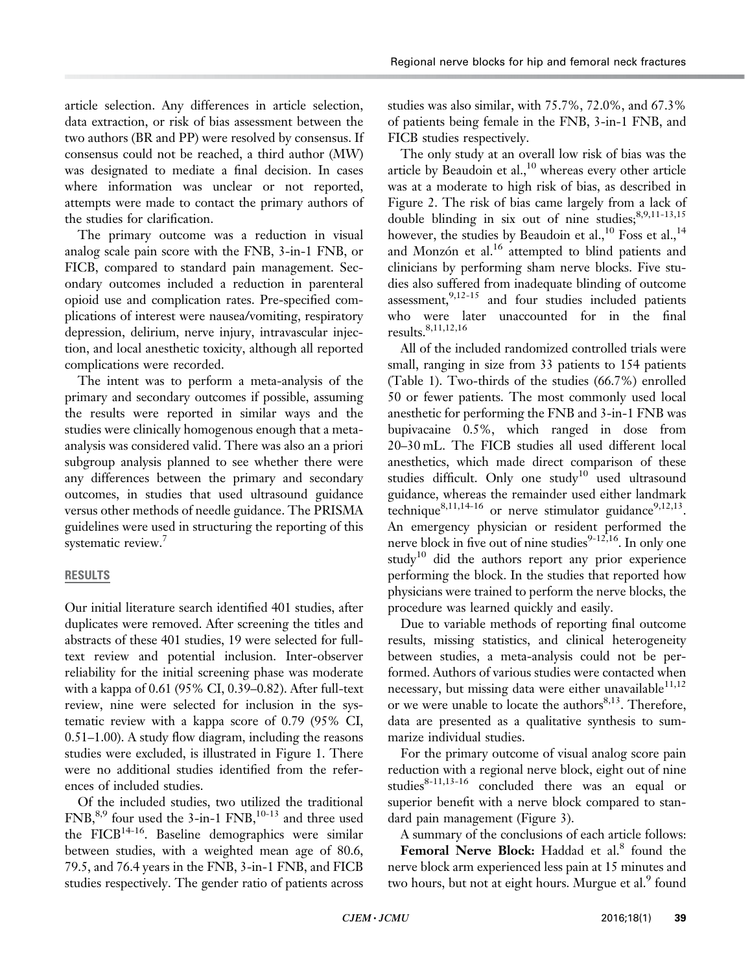article selection. Any differences in article selection, data extraction, or risk of bias assessment between the two authors (BR and PP) were resolved by consensus. If consensus could not be reached, a third author (MW) was designated to mediate a final decision. In cases where information was unclear or not reported, attempts were made to contact the primary authors of the studies for clarification.

The primary outcome was a reduction in visual analog scale pain score with the FNB, 3-in-1 FNB, or FICB, compared to standard pain management. Secondary outcomes included a reduction in parenteral opioid use and complication rates. Pre-specified complications of interest were nausea/vomiting, respiratory depression, delirium, nerve injury, intravascular injection, and local anesthetic toxicity, although all reported complications were recorded.

The intent was to perform a meta-analysis of the primary and secondary outcomes if possible, assuming the results were reported in similar ways and the studies were clinically homogenous enough that a metaanalysis was considered valid. There was also an a priori subgroup analysis planned to see whether there were any differences between the primary and secondary outcomes, in studies that used ultrasound guidance versus other methods of needle guidance. The PRISMA guidelines were used in structuring the reporting of this systematic review.<sup>7</sup>

## RESULTS

Our initial literature search identified 401 studies, after duplicates were removed. After screening the titles and abstracts of these 401 studies, 19 were selected for fulltext review and potential inclusion. Inter-observer reliability for the initial screening phase was moderate with a kappa of 0.61 (95% CI, 0.39–0.82). After full-text review, nine were selected for inclusion in the systematic review with a kappa score of 0.79 (95% CI, 0.51–1.00). A study flow diagram, including the reasons studies were excluded, is illustrated in [Figure 1](#page-3-0). There were no additional studies identified from the references of included studies.

Of the included studies, two utilized the traditional  $FNB<sub>1</sub><sup>8,9</sup>$  four used the 3-in-1  $FNB<sub>1</sub><sup>10-13</sup>$  and three used the FICB<sup>[14-](#page-7-0)16</sup>. Baseline demographics were similar between studies, with a weighted mean age of 80.6, 79.5, and 76.4 years in the FNB, 3-in-1 FNB, and FICB studies respectively. The gender ratio of patients across studies was also similar, with 75.7%, 72.0%, and 67.3% of patients being female in the FNB, 3-in-1 FNB, and FICB studies respectively.

The only study at an overall low risk of bias was the article by Beaudoin et al., $^{10}$  $^{10}$  $^{10}$  whereas every other article was at a moderate to high risk of bias, as described in [Figure 2.](#page-3-0) The risk of bias came largely from a lack of double blinding in six out of nine studies;  $8,9,11-13,15$  $8,9,11-13,15$  $8,9,11-13,15$ however, the studies by Beaudoin et al.,<sup>[10](#page-7-0)</sup> Foss et al.,<sup>[14](#page-7-0)</sup> and Monzón et al. $^{16}$  attempted to blind patients and clinicians by performing sham nerve blocks. Five studies also suffered from inadequate blinding of outcome assessment,  $9,12-15$  $9,12-15$  and four studies included patients who were later unaccounted for in the final results.[8,11,12](#page-7-0)[,16](#page-8-0)

All of the included randomized controlled trials were small, ranging in size from 33 patients to 154 patients [\(Table 1](#page-4-0)). Two-thirds of the studies (66.7%) enrolled 50 or fewer patients. The most commonly used local anesthetic for performing the FNB and 3-in-1 FNB was bupivacaine 0.5%, which ranged in dose from 20–30 mL. The FICB studies all used different local anesthetics, which made direct comparison of these studies difficult. Only one study<sup>[10](#page-7-0)</sup> used ultrasound guidance, whereas the remainder used either landmark technique<sup>[8,11,14-](#page-7-0)[16](#page-8-0)</sup> or nerve stimulator guidance<sup>9,12,13</sup>. An emergency physician or resident performed the nerve block in five out of nine studies<sup>[9-12](#page-7-0),16</sup>. In only one study<sup>[10](#page-7-0)</sup> did the authors report any prior experience performing the block. In the studies that reported how physicians were trained to perform the nerve blocks, the procedure was learned quickly and easily.

Due to variable methods of reporting final outcome results, missing statistics, and clinical heterogeneity between studies, a meta-analysis could not be performed. Authors of various studies were contacted when necessary, but missing data were either unavailable $11,12$ or we were unable to locate the authors $8,13$ . Therefore, data are presented as a qualitative synthesis to summarize individual studies.

For the primary outcome of visual analog score pain reduction with a regional nerve block, eight out of nine studies $8-11,13-16$  $8-11,13-16$  $8-11,13-16$  concluded there was an equal or superior benefit with a nerve block compared to standard pain management [\(Figure 3\)](#page-5-0).

A summary of the conclusions of each article follows:

Femoral Nerve Block: Haddad et al.<sup>[8](#page-7-0)</sup> found the nerve block arm experienced less pain at 15 minutes and two hours, but not at eight hours. Murgue et al.<sup>[9](#page-7-0)</sup> found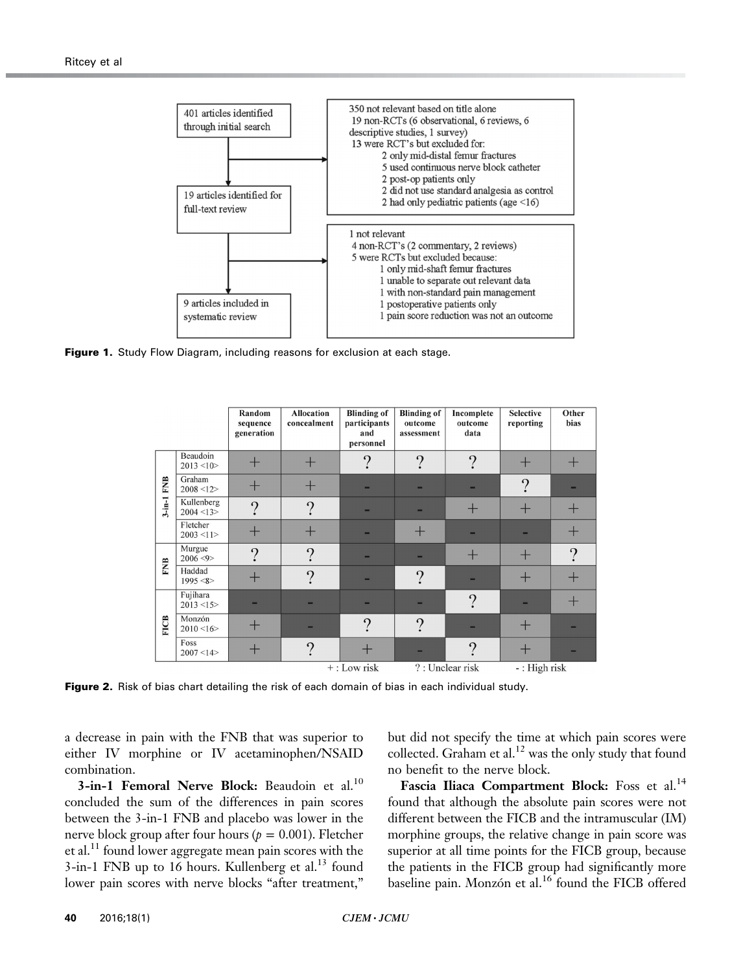<span id="page-3-0"></span>

**Figure 1.** Study Flow Diagram, including reasons for exclusion at each stage.

|                         |                           | Random<br>sequence<br>generation | <b>Allocation</b><br>concealment | <b>Blinding of</b><br>participants<br>and<br>personnel | <b>Blinding of</b><br>outcome<br>assessment | Incomplete<br>outcome<br>data | <b>Selective</b><br>reporting | Other<br>bias   |
|-------------------------|---------------------------|----------------------------------|----------------------------------|--------------------------------------------------------|---------------------------------------------|-------------------------------|-------------------------------|-----------------|
| <b>FNB</b><br>$3$ -in-1 | Beaudoin<br>2013 < 10     |                                  | ₩                                | $\Omega$                                               | $\Omega$                                    | $\Omega$                      |                               |                 |
|                         | Graham<br>2008 < 12       | ╅                                | Ť                                |                                                        |                                             |                               | $\Omega$                      |                 |
|                         | Kullenberg<br>2004 < 13   | $\Omega$                         | $\gamma$                         |                                                        |                                             |                               |                               | ┭               |
|                         | Fletcher<br>$2003 \le 11$ |                                  |                                  |                                                        |                                             |                               |                               | $\blacklozenge$ |
| <b>FNB</b>              | Murgue<br>2006 < 9        | $\Omega$                         | $\Omega$                         |                                                        |                                             |                               | ᆠ                             | $\Omega$        |
|                         | Haddad<br>1995 < 8        |                                  | $\Omega$                         |                                                        | $\Omega$                                    |                               |                               | $\, + \,$       |
| <b>FICB</b>             | Fujihara<br>2013 < 15     |                                  |                                  |                                                        |                                             | ႒                             |                               | ┿               |
|                         | Monzón<br>2010 < 16       |                                  | -                                | $\Omega$                                               | $\Omega$                                    |                               |                               |                 |
|                         | Foss<br>2007 < 14         | ╅                                | $\overline{\phantom{a}}$         |                                                        |                                             | $\Omega$                      |                               |                 |
|                         |                           |                                  |                                  | $+:$ Low risk                                          |                                             | ?: Unclear risk               | $-$ : High risk               |                 |

Figure 2. Risk of bias chart detailing the risk of each domain of bias in each individual study.

a decrease in pain with the FNB that was superior to either IV morphine or IV acetaminophen/NSAID combination.

3-in-1 Femoral Nerve Block: Beaudoin et al.<sup>[10](#page-7-0)</sup> concluded the sum of the differences in pain scores between the 3-in-1 FNB and placebo was lower in the nerve block group after four hours ( $p = 0.001$ ). Fletcher et al.<sup>[11](#page-7-0)</sup> found lower aggregate mean pain scores with the  $3$ -in-1 FNB up to 16 hours. Kullenberg et al.<sup>13</sup> found lower pain scores with nerve blocks "after treatment,"

but did not specify the time at which pain scores were collected. Graham et al.<sup>[12](#page-7-0)</sup> was the only study that found no benefit to the nerve block.

Fascia Iliaca Compartment Block: Foss et al.<sup>[14](#page-7-0)</sup> found that although the absolute pain scores were not different between the FICB and the intramuscular (IM) morphine groups, the relative change in pain score was superior at all time points for the FICB group, because the patients in the FICB group had significantly more baseline pain. Monzón et al.<sup>[16](#page-8-0)</sup> found the FICB offered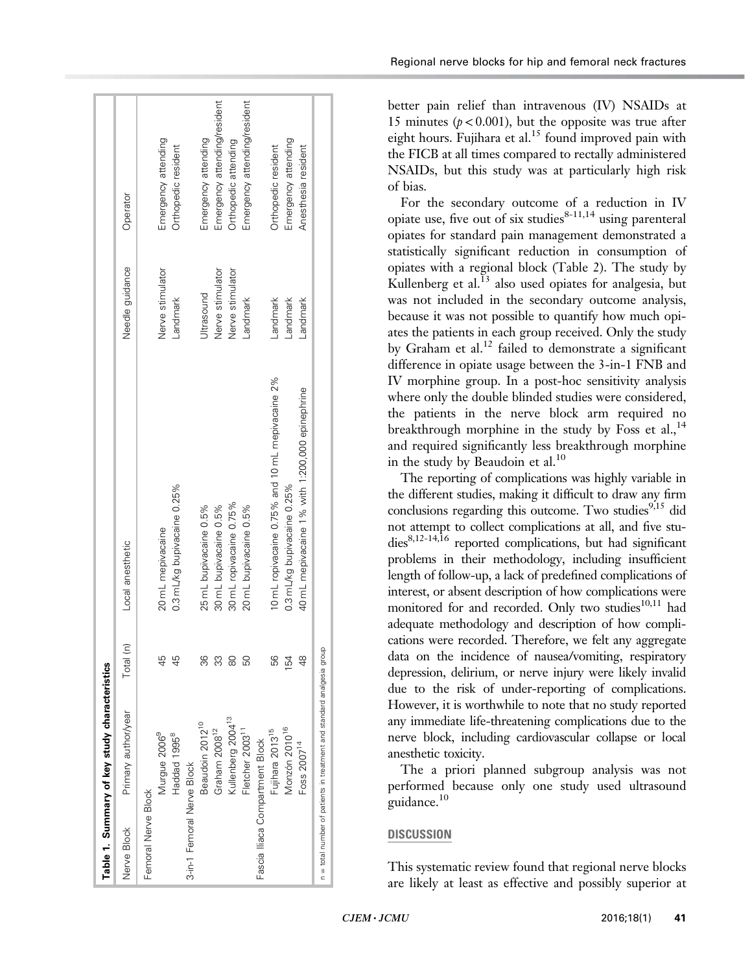<span id="page-4-0"></span>

| Table 1. Summary of key study characteristics                          |           |                                                  |                  |                              |
|------------------------------------------------------------------------|-----------|--------------------------------------------------|------------------|------------------------------|
| Primary author/year<br>Nerve Block                                     | Total (n) | Local anesthetic                                 | Needle guidance  | Operator                     |
| Femoral Nerve Block                                                    |           |                                                  |                  |                              |
| Murgue 2006 <sup>9</sup>                                               | 45        | 20 mL mepivacaine                                | Nerve stimulator | Emergency attending          |
| Haddad 1995 <sup>8</sup>                                               |           | 0.3 mL/kg bupivacaine 0.25%                      | andmark          | Orthopedic resident          |
| 3-in-1 Femoral Nerve Block                                             |           |                                                  |                  |                              |
| Beaudoin 2012 <sup>10</sup>                                            | 36        | 25 mL bupivacaine 0.5%                           | Jitrasound       | Emergency attending          |
| Graham 2008 <sup>12</sup>                                              | ကွ        | 30 mL bupivacaine 0.5%                           | Nerve stimulator | Emergency attending/resident |
| Kullenberg 2004 <sup>13</sup>                                          | 8         | 30 mL ropivacaine 0.75%                          | Nerve stimulator | Orthopedic attending         |
| Fletcher 2003 <sup>11</sup>                                            | 50        | 20 mL bupivacaine 0.5%                           | andmark          | Emergency attending/resident |
| Fascia Iliaca Compartment Block                                        |           |                                                  |                  |                              |
| Fujihara 2013 <sup>15</sup>                                            | 56        | 10 mL ropivacaine 0.75% and 10 mL mepivacaine 2% | Landmark         | Orthopedic resident          |
| Monzón 2010 <sup>16</sup>                                              | 154       | 0.3 mL/kg bupivacaine 0.25%                      | andmark          | Emergency attending          |
| Foss 2007 <sup>14</sup>                                                | ఇ         | 40 mL mepivacaine 1% with 1:200,000 epinephrine  | Landmark         | Anesthesia resident          |
| n = total number of patients in treatment and standard analgesia group |           |                                                  |                  |                              |

Regional nerve blocks for hip and femoral neck fractures

better pain relief than intravenous (IV) NSAIDs at 15 minutes ( $p < 0.001$ ), but the opposite was true after eight hours. Fujihara et al.<sup>[15](#page-8-0)</sup> found improved pain with the FICB at all times compared to rectally administered NSAIDs, but this study was at particularly high risk of bias.

For the secondary outcome of a reduction in IV opiate use, five out of six studies $8-11,14$  using parenteral opiates for standard pain management demonstrated a statistically significant reduction in consumption of opiates with a regional block [\(Table 2](#page-6-0)). The study by Kullenberg et al. $^{13}$  $^{13}$  $^{13}$  also used opiates for analgesia, but was not included in the secondary outcome analysis, because it was not possible to quantify how much opiates the patients in each group received. Only the study by Graham et al.<sup>[12](#page-7-0)</sup> failed to demonstrate a significant difference in opiate usage between the 3-in-1 FNB and IV morphine group. In a post-hoc sensitivity analysis where only the double blinded studies were considered, the patients in the nerve block arm required no breakthrough morphine in the study by Foss et al.,  $14$ and required significantly less breakthrough morphine in the study by Beaudoin et al. $^{10}$  $^{10}$  $^{10}$ 

The reporting of complications was highly variable in the different studies, making it difficult to draw any firm conclusions regarding this outcome. Two studies $9,15$  $9,15$  did not attempt to collect complications at all, and five stu-dies<sup>8,[12-14](#page-7-0),[16](#page-8-0)</sup> reported complications, but had significant problems in their methodology, including insufficient length of follow-up, a lack of predefined complications of interest, or absent description of how complications were monitored for and recorded. Only two studies<sup>[10,11](#page-7-0)</sup> had adequate methodology and description of how complications were recorded. Therefore, we felt any aggregate data on the incidence of nausea/vomiting, respiratory depression, delirium, or nerve injury were likely invalid due to the risk of under-reporting of complications. However, it is worthwhile to note that no study reported any immediate life-threatening complications due to the nerve block, including cardiovascular collapse or local anesthetic toxicity.

The a priori planned subgroup analysis was not performed because only one study used ultrasound guidance[.10](#page-7-0)

## **DISCUSSION**

This systematic review found that regional nerve blocks are likely at least as effective and possibly superior at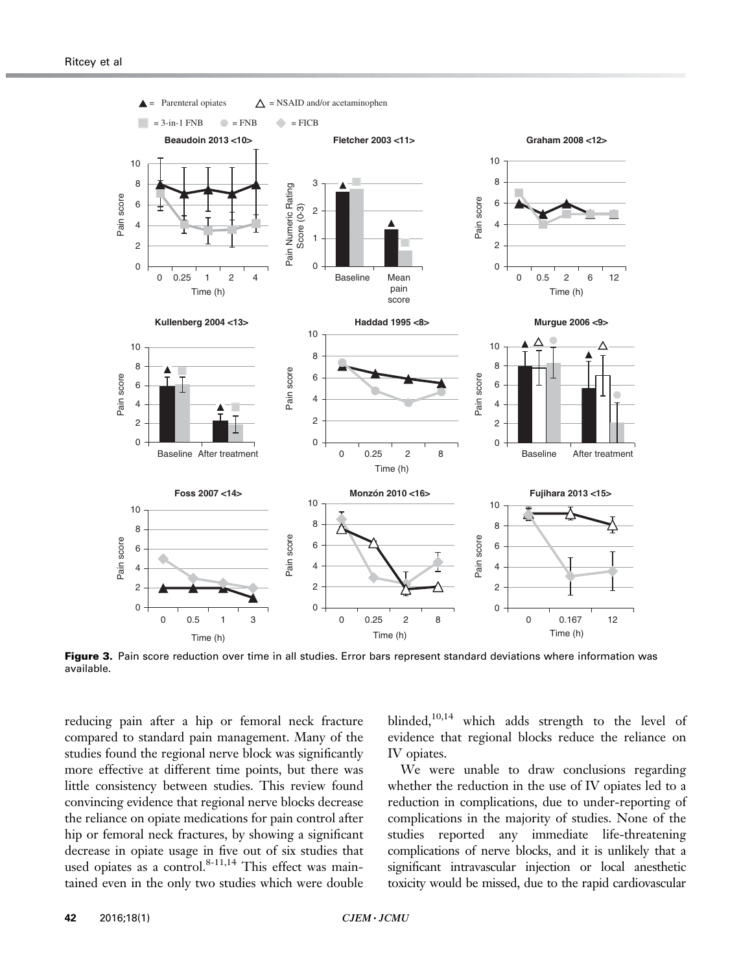<span id="page-5-0"></span>

Figure 3. Pain score reduction over time in all studies. Error bars represent standard deviations where information was available.

reducing pain after a hip or femoral neck fracture compared to standard pain management. Many of the studies found the regional nerve block was significantly more effective at different time points, but there was little consistency between studies. This review found convincing evidence that regional nerve blocks decrease the reliance on opiate medications for pain control after hip or femoral neck fractures, by showing a significant decrease in opiate usage in five out of six studies that used opiates as a control. $8-11,14$  This effect was maintained even in the only two studies which were double blinded,<sup>10,14</sup> which adds strength to the level of evidence that regional blocks reduce the reliance on IV opiates.

We were unable to draw conclusions regarding whether the reduction in the use of IV opiates led to a reduction in complications, due to under-reporting of complications in the majority of studies. None of the studies reported any immediate life-threatening complications of nerve blocks, and it is unlikely that a significant intravascular injection or local anesthetic toxicity would be missed, due to the rapid cardiovascular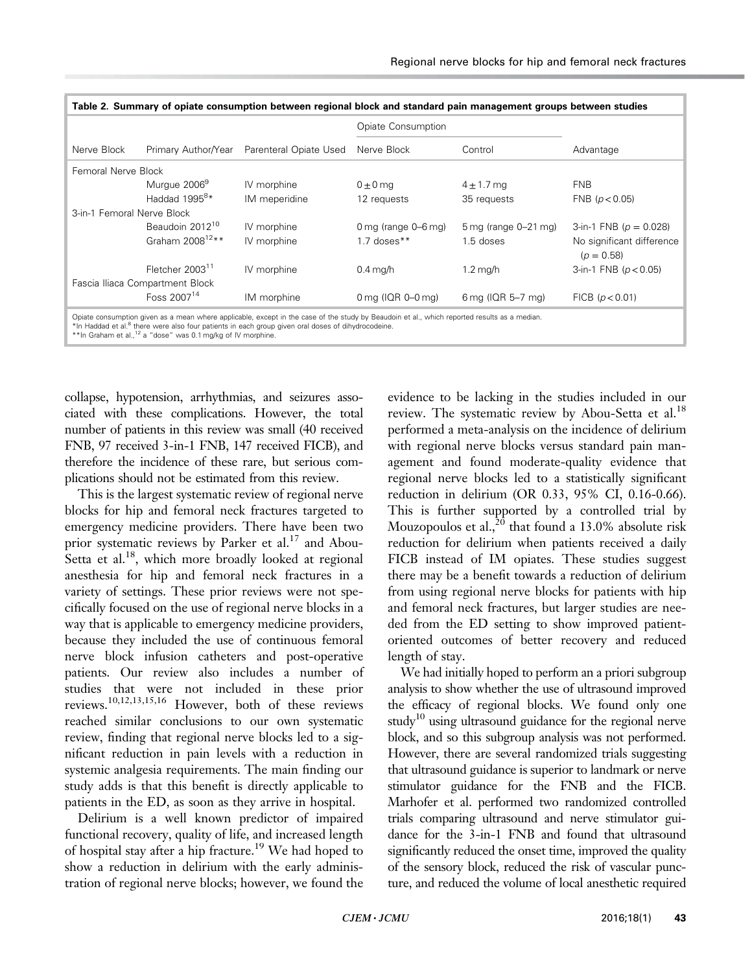<span id="page-6-0"></span>

|                            |                                 |                        | Opiate Consumption                         |                                   |                                           |
|----------------------------|---------------------------------|------------------------|--------------------------------------------|-----------------------------------|-------------------------------------------|
| Nerve Block                | Primary Author/Year             | Parenteral Opiate Used | Nerve Block                                | Control                           | Advantage                                 |
| Femoral Nerve Block        |                                 |                        |                                            |                                   |                                           |
|                            | Murgue 2006 <sup>9</sup>        | IV morphine            | $0 \pm 0$ mg                               | $4 \pm 1.7$ mg                    | <b>FNB</b>                                |
|                            | Haddad 1995 <sup>8*</sup>       | IM meperidine          | 12 requests                                | 35 requests                       | FNB ( $p < 0.05$ )                        |
| 3-in-1 Femoral Nerve Block |                                 |                        |                                            |                                   |                                           |
|                            | Beaudoin 2012 <sup>10</sup>     | IV morphine            | 0 mg (range $0-6$ mg)                      | $5 \,\mathrm{mg}$ (range 0-21 mg) | 3-in-1 FNB ( $p = 0.028$ )                |
|                            | Graham 2008 <sup>12**</sup>     | IV morphine            | $1.7$ doses $**$                           | 1.5 doses                         | No significant difference<br>$(p = 0.58)$ |
|                            | Fletcher 2003 <sup>11</sup>     | IV morphine            | $0.4$ mg/h                                 | $1.2 \text{ mg/h}$                | 3-in-1 FNB ( $p < 0.05$ )                 |
|                            | Fascia Iliaca Compartment Block |                        |                                            |                                   |                                           |
|                            | Foss $2007^{14}$                | IM morphine            | $0 \text{ mg}$ (IQR $0$ – $0 \text{ mg}$ ) | 6 mg (IQR 5-7 mg)                 | FICB (p < 0.01)                           |

\*In Haddad et al.<sup>8</sup> there were also four patients in each group given oral doses of dihydrocodeine.<br>\*\*In Graham et al.,<sup>[12](#page-7-0)</sup> a "dose" was 0.1 mg/kg of IV morphine.

collapse, hypotension, arrhythmias, and seizures associated with these complications. However, the total number of patients in this review was small (40 received FNB, 97 received 3-in-1 FNB, 147 received FICB), and therefore the incidence of these rare, but serious complications should not be estimated from this review.

This is the largest systematic review of regional nerve blocks for hip and femoral neck fractures targeted to emergency medicine providers. There have been two prior systematic reviews by Parker et al.<sup>[17](#page-8-0)</sup> and Abou-Setta et al.<sup>[18](#page-8-0)</sup>, which more broadly looked at regional anesthesia for hip and femoral neck fractures in a variety of settings. These prior reviews were not specifically focused on the use of regional nerve blocks in a way that is applicable to emergency medicine providers, because they included the use of continuous femoral nerve block infusion catheters and post-operative patients. Our review also includes a number of studies that were not included in these prior reviews.[10,12,13,](#page-7-0)[15,16](#page-8-0) However, both of these reviews reached similar conclusions to our own systematic review, finding that regional nerve blocks led to a significant reduction in pain levels with a reduction in systemic analgesia requirements. The main finding our study adds is that this benefit is directly applicable to patients in the ED, as soon as they arrive in hospital.

Delirium is a well known predictor of impaired functional recovery, quality of life, and increased length of hospital stay after a hip fracture.<sup>[19](#page-8-0)</sup> We had hoped to show a reduction in delirium with the early administration of regional nerve blocks; however, we found the evidence to be lacking in the studies included in our review. The systematic review by Abou-Setta et al.<sup>[18](#page-8-0)</sup> performed a meta-analysis on the incidence of delirium with regional nerve blocks versus standard pain management and found moderate-quality evidence that regional nerve blocks led to a statistically significant reduction in delirium (OR 0.33, 95% CI, 0.16-0.66). This is further supported by a controlled trial by Mouzopoulos et al.,  $20$  that found a 13.0% absolute risk reduction for delirium when patients received a daily FICB instead of IM opiates. These studies suggest there may be a benefit towards a reduction of delirium from using regional nerve blocks for patients with hip and femoral neck fractures, but larger studies are needed from the ED setting to show improved patientoriented outcomes of better recovery and reduced length of stay.

We had initially hoped to perform an a priori subgroup analysis to show whether the use of ultrasound improved the efficacy of regional blocks. We found only one study<sup>10</sup> using ultrasound guidance for the regional nerve block, and so this subgroup analysis was not performed. However, there are several randomized trials suggesting that ultrasound guidance is superior to landmark or nerve stimulator guidance for the FNB and the FICB. Marhofer et al. performed two randomized controlled trials comparing ultrasound and nerve stimulator guidance for the 3-in-1 FNB and found that ultrasound significantly reduced the onset time, improved the quality of the sensory block, reduced the risk of vascular puncture, and reduced the volume of local anesthetic required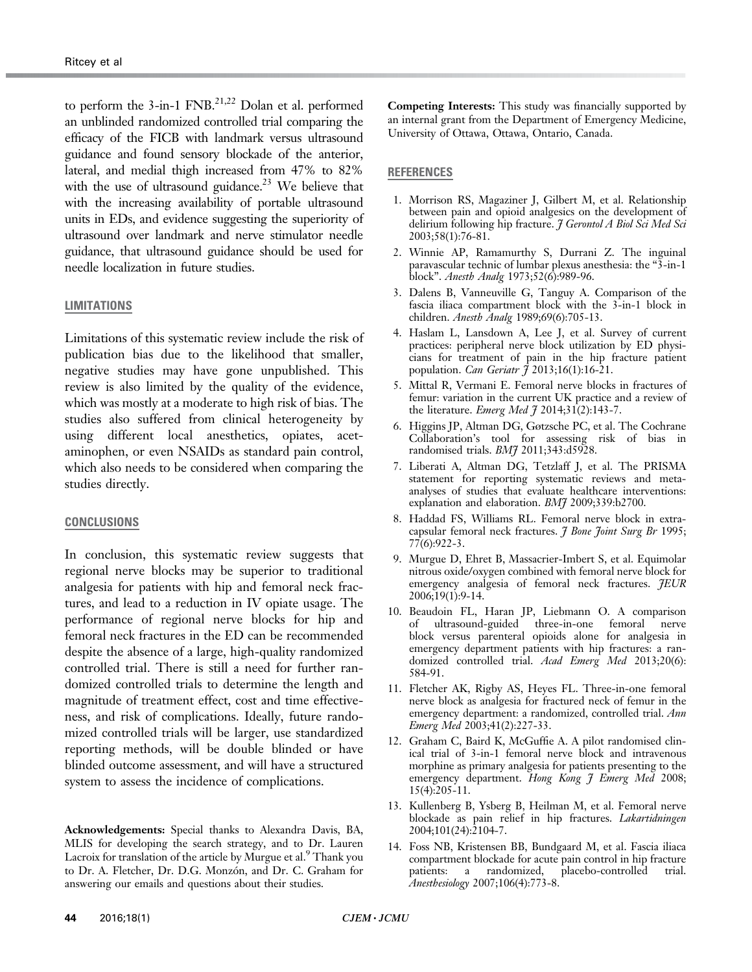<span id="page-7-0"></span>to perform the  $3$ -in-1 FNB.<sup>21,22</sup> Dolan et al. performed an unblinded randomized controlled trial comparing the efficacy of the FICB with landmark versus ultrasound guidance and found sensory blockade of the anterior, lateral, and medial thigh increased from 47% to 82% with the use of ultrasound guidance.<sup>[23](#page-8-0)</sup> We believe that with the increasing availability of portable ultrasound units in EDs, and evidence suggesting the superiority of ultrasound over landmark and nerve stimulator needle guidance, that ultrasound guidance should be used for needle localization in future studies.

#### **LIMITATIONS**

Limitations of this systematic review include the risk of publication bias due to the likelihood that smaller, negative studies may have gone unpublished. This review is also limited by the quality of the evidence, which was mostly at a moderate to high risk of bias. The studies also suffered from clinical heterogeneity by using different local anesthetics, opiates, acetaminophen, or even NSAIDs as standard pain control, which also needs to be considered when comparing the studies directly.

#### CONCLUSIONS

In conclusion, this systematic review suggests that regional nerve blocks may be superior to traditional analgesia for patients with hip and femoral neck fractures, and lead to a reduction in IV opiate usage. The performance of regional nerve blocks for hip and femoral neck fractures in the ED can be recommended despite the absence of a large, high-quality randomized controlled trial. There is still a need for further randomized controlled trials to determine the length and magnitude of treatment effect, cost and time effectiveness, and risk of complications. Ideally, future randomized controlled trials will be larger, use standardized reporting methods, will be double blinded or have blinded outcome assessment, and will have a structured system to assess the incidence of complications.

Acknowledgements: Special thanks to Alexandra Davis, BA, MLIS for developing the search strategy, and to Dr. Lauren Lacroix for translation of the article by Murgue et al.<sup>9</sup> Thank you to Dr. A. Fletcher, Dr. D.G. Monzón, and Dr. C. Graham for answering our emails and questions about their studies.

Competing Interests: This study was financially supported by an internal grant from the Department of Emergency Medicine, University of Ottawa, Ottawa, Ontario, Canada.

### REFERENCES

- 1. Morrison RS, Magaziner J, Gilbert M, et al. Relationship between pain and opioid analgesics on the development of delirium following hip fracture. J Gerontol A Biol Sci Med Sci 2003;58(1):76-81.
- 2. Winnie AP, Ramamurthy S, Durrani Z. The inguinal paravascular technic of lumbar plexus anesthesia: the "3-in-1 block". Anesth Analg 1973;52(6):989-96.
- 3. Dalens B, Vanneuville G, Tanguy A. Comparison of the fascia iliaca compartment block with the 3-in-1 block in children. Anesth Analg 1989;69(6):705-13.
- 4. Haslam L, Lansdown A, Lee J, et al. Survey of current practices: peripheral nerve block utilization by ED physicians for treatment of pain in the hip fracture patient population. Can Geriatr  $\tilde{f}$  2013;16(1):16-21.
- 5. Mittal R, Vermani E. Femoral nerve blocks in fractures of femur: variation in the current UK practice and a review of the literature. *Emerg Med*  $\tilde{\jmath}$  2014;31(2):143-7.
- 6. Higgins JP, Altman DG, Gøtzsche PC, et al. The Cochrane Collaboration's tool for assessing risk of bias in randomised trials. BM7 2011;343:d5928.
- 7. Liberati A, Altman DG, Tetzlaff J, et al. The PRISMA statement for reporting systematic reviews and metaanalyses of studies that evaluate healthcare interventions: explanation and elaboration. BMJ 2009;339:b2700.
- 8. Haddad FS, Williams RL. Femoral nerve block in extracapsular femoral neck fractures. *J Bone Joint Surg Br* 1995; 77(6):922-3.
- 9. Murgue D, Ehret B, Massacrier-Imbert S, et al. Equimolar nitrous oxide/oxygen combined with femoral nerve block for emergency analgesia of femoral neck fractures. JEUR 2006;19(1):9-14.
- 10. Beaudoin FL, Haran JP, Liebmann O. A comparison of ultrasound-guided three-in-one femoral nerve block versus parenteral opioids alone for analgesia in emergency department patients with hip fractures: a randomized controlled trial. Acad Emerg Med 2013;20(6): 584-91.
- 11. Fletcher AK, Rigby AS, Heyes FL. Three-in-one femoral nerve block as analgesia for fractured neck of femur in the emergency department: a randomized, controlled trial. Ann Emerg Med 2003;41(2):227-33.
- 12. Graham C, Baird K, McGuffie A. A pilot randomised clinical trial of 3-in-1 femoral nerve block and intravenous morphine as primary analgesia for patients presenting to the emergency department. Hong Kong J Emerg Med 2008; 15(4):205-11.
- 13. Kullenberg B, Ysberg B, Heilman M, et al. Femoral nerve blockade as pain relief in hip fractures. *Lakartidningen* 2004;101(24):2104-7.
- 14. Foss NB, Kristensen BB, Bundgaard M, et al. Fascia iliaca compartment blockade for acute pain control in hip fracture patients: a randomized, placebo-controlled trial. Anesthesiology 2007;106(4):773-8.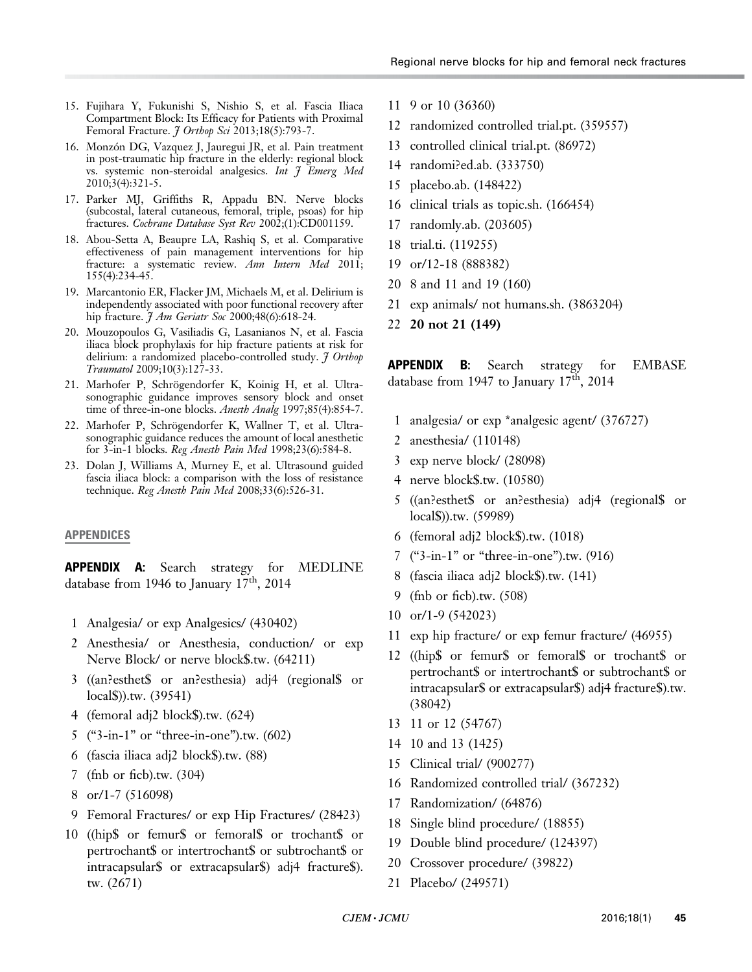- <span id="page-8-0"></span>15. Fujihara Y, Fukunishi S, Nishio S, et al. Fascia Iliaca Compartment Block: Its Efficacy for Patients with Proximal Femoral Fracture. *J Orthop Sci* 2013;18(5):793-7.
- 16. Monzón DG, Vazquez J, Jauregui JR, et al. Pain treatment in post-traumatic hip fracture in the elderly: regional block vs. systemic non-steroidal analgesics. Int  $\tilde{J}$  Emerg Med 2010;3(4):321-5.
- 17. Parker MJ, Griffiths R, Appadu BN. Nerve blocks (subcostal, lateral cutaneous, femoral, triple, psoas) for hip fractures. Cochrane Database Syst Rev 2002;(1):CD001159.
- 18. Abou-Setta A, Beaupre LA, Rashiq S, et al. Comparative effectiveness of pain management interventions for hip fracture: a systematic review. Ann Intern Med 2011; 155(4):234-45.
- 19. Marcantonio ER, Flacker JM, Michaels M, et al. Delirium is independently associated with poor functional recovery after hip fracture.  $\tilde{\jmath}$  Am Geriatr Soc 2000;48(6):618-24.
- 20. Mouzopoulos G, Vasiliadis G, Lasanianos N, et al. Fascia iliaca block prophylaxis for hip fracture patients at risk for delirium: a randomized placebo-controlled study. J Orthop Traumatol 2009;10(3):127-33.
- 21. Marhofer P, Schrögendorfer K, Koinig H, et al. Ultrasonographic guidance improves sensory block and onset time of three-in-one blocks. Anesth Analg 1997;85(4):854-7.
- 22. Marhofer P, Schrögendorfer K, Wallner T, et al. Ultrasonographic guidance reduces the amount of local anesthetic for 3-in-1 blocks. Reg Anesth Pain Med 1998;23(6):584-8.
- 23. Dolan J, Williams A, Murney E, et al. Ultrasound guided fascia iliaca block: a comparison with the loss of resistance technique. Reg Anesth Pain Med 2008;33(6):526-31.

## APPENDICES

APPENDIX A: Search strategy for MEDLINE database from 1946 to January  $17<sup>th</sup>$ , 2014

- 1 Analgesia/ or exp Analgesics/ (430402)
- 2 Anesthesia/ or Anesthesia, conduction/ or exp Nerve Block/ or nerve block\$.tw. (64211)
- 3 ((an?esthet\$ or an?esthesia) adj4 (regional\$ or local\$)).tw. (39541)
- 4 (femoral adj2 block\$).tw. (624)
- 5 ("3-in-1" or "three-in-one").tw. (602)
- 6 (fascia iliaca adj2 block\$).tw. (88)
- 7 (fnb or ficb).tw. (304)
- 8 or/1-7 (516098)
- 9 Femoral Fractures/ or exp Hip Fractures/ (28423)
- 10 ((hip\$ or femur\$ or femoral\$ or trochant\$ or pertrochant\$ or intertrochant\$ or subtrochant\$ or intracapsular\$ or extracapsular\$) adj4 fracture\$). tw. (2671)
- 11 9 or 10 (36360)
- 12 randomized controlled trial.pt. (359557)
- 13 controlled clinical trial.pt. (86972)
- 14 randomi?ed.ab. (333750)
- 15 placebo.ab. (148422)
- 16 clinical trials as topic.sh. (166454)
- 17 randomly.ab. (203605)
- 18 trial.ti. (119255)
- 19 or/12-18 (888382)
- 20 8 and 11 and 19 (160)
- 21 exp animals/ not humans.sh. (3863204)
- 22 20 not 21 (149)

APPENDIX B: Search strategy for EMBASE database from 1947 to January  $17<sup>th</sup>$ , 2014

- 1 analgesia/ or exp \*analgesic agent/ (376727)
- 2 anesthesia/ (110148)
- 3 exp nerve block/ (28098)
- 4 nerve block\$.tw. (10580)
- 5 ((an?esthet\$ or an?esthesia) adj4 (regional\$ or local\$)).tw. (59989)
- 6 (femoral adj2 block\$).tw. (1018)
- 7 ("3-in-1" or "three-in-one").tw. (916)
- 8 (fascia iliaca adj2 block\$).tw. (141)
- 9 (fnb or ficb).tw. (508)
- 10 or/1-9 (542023)
- 11 exp hip fracture/ or exp femur fracture/ (46955)
- 12 ((hip\$ or femur\$ or femoral\$ or trochant\$ or pertrochant\$ or intertrochant\$ or subtrochant\$ or intracapsular\$ or extracapsular\$) adj4 fracture\$).tw. (38042)
- 13 11 or 12 (54767)
- 14 10 and 13 (1425)
- 15 Clinical trial/ (900277)
- 16 Randomized controlled trial/ (367232)
- 17 Randomization/ (64876)
- 18 Single blind procedure/ (18855)
- 19 Double blind procedure/ (124397)
- 20 Crossover procedure/ (39822)
- 21 Placebo/ (249571)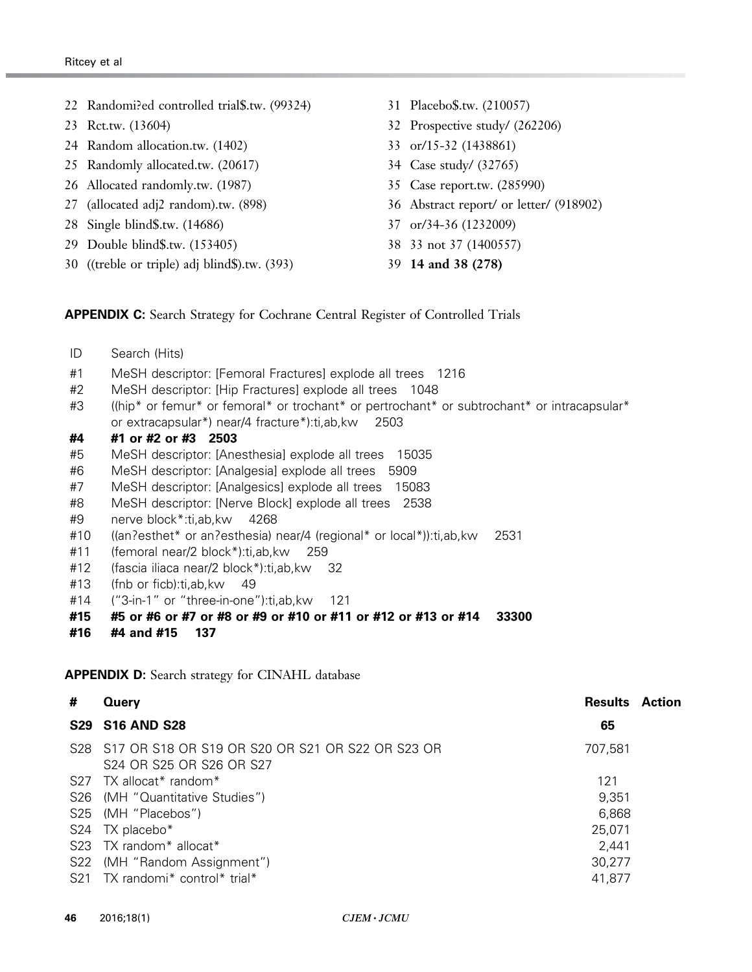- 22 Randomi?ed controlled trial\$.tw. (99324)
- 23 Rct.tw. (13604)
- 24 Random allocation.tw. (1402)
- 25 Randomly allocated.tw. (20617)
- 26 Allocated randomly.tw. (1987)
- 27 (allocated adj2 random).tw. (898)
- 28 Single blind\$.tw. (14686)
- 29 Double blind\$.tw. (153405)
- 30 ((treble or triple) adj blind\$).tw. (393)
- 31 Placebo\$.tw. (210057)
- 32 Prospective study/ (262206)
- 33 or/15-32 (1438861)
- 34 Case study/ (32765)
- 35 Case report.tw. (285990)
- 36 Abstract report/ or letter/ (918902)
- 37 or/34-36 (1232009)
- 38 33 not 37 (1400557)
- 39 14 and 38 (278)

#### **APPENDIX C:** Search Strategy for Cochrane Central Register of Controlled Trials

- ID Search (Hits)
- #1 MeSH descriptor: [Femoral Fractures] explode all trees 1216
- #2 MeSH descriptor: [Hip Fractures] explode all trees 1048
- #3 ((hip\* or femur\* or femoral\* or trochant\* or pertrochant\* or subtrochant\* or intracapsular\* or extracapsular\*) near/4 fracture\*):ti,ab,kw 2503
- #4 #1 or #2 or #3 2503
- #5 MeSH descriptor: [Anesthesia] explode all trees 15035
- #6 MeSH descriptor: [Analgesia] explode all trees 5909
- #7 MeSH descriptor: [Analgesics] explode all trees 15083
- #8 MeSH descriptor: [Nerve Block] explode all trees 2538
- #9 nerve block\*:ti,ab,kw 4268
- #10 ((an?esthet\* or an?esthesia) near/4 (regional\* or local\*)):ti,ab,kw 2531
- #11 (femoral near/2 block\*):ti,ab,kw 259
- #12 (fascia iliaca near/2 block\*):ti,ab,kw 32
- #13 (fnb or ficb):ti,ab,kw 49
- #14 ("3-in-1" or "three-in-one"):ti,ab,kw 121
- #15 #5 or #6 or #7 or #8 or #9 or #10 or #11 or #12 or #13 or #14 33300
- #16 #4 and #15 137

#### APPENDIX D: Search strategy for CINAHL database

| #   | Query                                                                            | <b>Results</b> | Action |
|-----|----------------------------------------------------------------------------------|----------------|--------|
|     | <b>S29 S16 AND S28</b>                                                           | 65             |        |
|     | S28 S17 OR S18 OR S19 OR S20 OR S21 OR S22 OR S23 OR<br>S24 OR S25 OR S26 OR S27 | 707,581        |        |
|     | $S27$ TX allocat <sup>*</sup> random <sup>*</sup>                                | 121            |        |
| S26 | (MH "Quantitative Studies")                                                      | 9,351          |        |
|     | S25 (MH "Placebos")                                                              | 6,868          |        |
|     | S24 TX placebo*                                                                  | 25,071         |        |
|     | S23 TX random* allocat*                                                          | 2,441          |        |
| S22 | (MH "Random Assignment")                                                         | 30,277         |        |
|     | S21 TX randomi* control* trial*                                                  | 41,877         |        |
|     |                                                                                  |                |        |